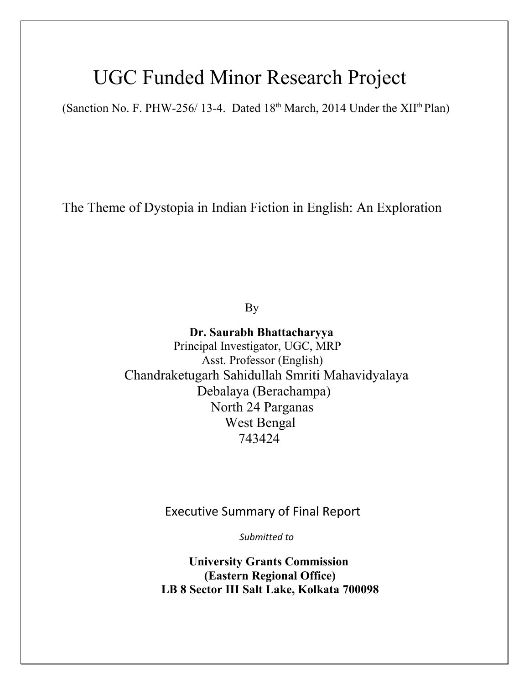## UGC Funded Minor Research Project

(Sanction No. F. PHW-256/ 13-4. Dated  $18<sup>th</sup>$  March, 2014 Under the XII<sup>th</sup> Plan)

The Theme of Dystopia in Indian Fiction in English: An Exploration

By

**Dr. Saurabh Bhattacharyya** Principal Investigator, UGC, MRP Asst. Professor (English) Chandraketugarh Sahidullah Smriti Mahavidyalaya Debalaya (Berachampa) North 24 Parganas West Bengal 743424

Executive Summary of Final Report

*Submitted to*

 **University Grants Commission (Eastern Regional Office) LB 8 Sector III Salt Lake, Kolkata 700098**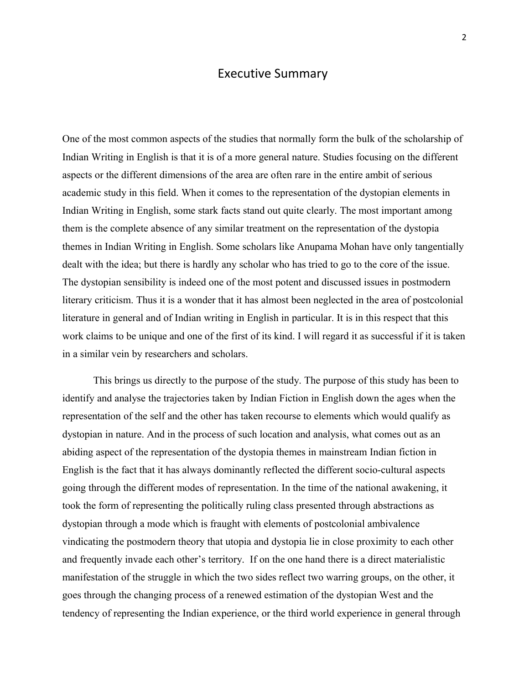## Executive Summary

One of the most common aspects of the studies that normally form the bulk of the scholarship of Indian Writing in English is that it is of a more general nature. Studies focusing on the different aspects or the different dimensions of the area are often rare in the entire ambit of serious academic study in this field. When it comes to the representation of the dystopian elements in Indian Writing in English, some stark facts stand out quite clearly. The most important among them is the complete absence of any similar treatment on the representation of the dystopia themes in Indian Writing in English. Some scholars like Anupama Mohan have only tangentially dealt with the idea; but there is hardly any scholar who has tried to go to the core of the issue. The dystopian sensibility is indeed one of the most potent and discussed issues in postmodern literary criticism. Thus it is a wonder that it has almost been neglected in the area of postcolonial literature in general and of Indian writing in English in particular. It is in this respect that this work claims to be unique and one of the first of its kind. I will regard it as successful if it is taken in a similar vein by researchers and scholars.

This brings us directly to the purpose of the study. The purpose of this study has been to identify and analyse the trajectories taken by Indian Fiction in English down the ages when the representation of the self and the other has taken recourse to elements which would qualify as dystopian in nature. And in the process of such location and analysis, what comes out as an abiding aspect of the representation of the dystopia themes in mainstream Indian fiction in English is the fact that it has always dominantly reflected the different socio-cultural aspects going through the different modes of representation. In the time of the national awakening, it took the form of representing the politically ruling class presented through abstractions as dystopian through a mode which is fraught with elements of postcolonial ambivalence vindicating the postmodern theory that utopia and dystopia lie in close proximity to each other and frequently invade each other's territory. If on the one hand there is a direct materialistic manifestation of the struggle in which the two sides reflect two warring groups, on the other, it goes through the changing process of a renewed estimation of the dystopian West and the tendency of representing the Indian experience, or the third world experience in general through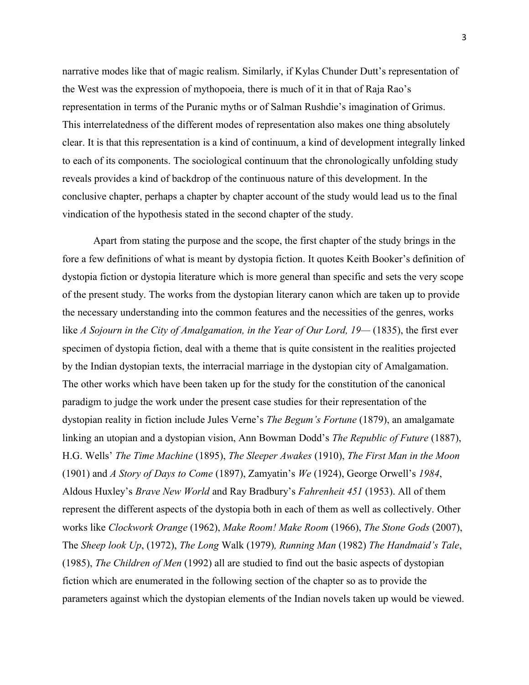narrative modes like that of magic realism. Similarly, if Kylas Chunder Dutt's representation of the West was the expression of mythopoeia, there is much of it in that of Raja Rao's representation in terms of the Puranic myths or of Salman Rushdie's imagination of Grimus. This interrelatedness of the different modes of representation also makes one thing absolutely clear. It is that this representation is a kind of continuum, a kind of development integrally linked to each of its components. The sociological continuum that the chronologically unfolding study reveals provides a kind of backdrop of the continuous nature of this development. In the conclusive chapter, perhaps a chapter by chapter account of the study would lead us to the final vindication of the hypothesis stated in the second chapter of the study.

Apart from stating the purpose and the scope, the first chapter of the study brings in the fore a few definitions of what is meant by dystopia fiction. It quotes Keith Booker's definition of dystopia fiction or dystopia literature which is more general than specific and sets the very scope of the present study. The works from the dystopian literary canon which are taken up to provide the necessary understanding into the common features and the necessities of the genres, works like *A Sojourn in the City of Amalgamation, in the Year of Our Lord, 19—* (1835), the first ever specimen of dystopia fiction, deal with a theme that is quite consistent in the realities projected by the Indian dystopian texts, the interracial marriage in the dystopian city of Amalgamation. The other works which have been taken up for the study for the constitution of the canonical paradigm to judge the work under the present case studies for their representation of the dystopian reality in fiction include Jules Verne's *The Begum's Fortune* (1879), an amalgamate linking an utopian and a dystopian vision, Ann Bowman Dodd's *The Republic of Future* (1887), H.G. Wells' *The Time Machine* (1895), *The Sleeper Awakes* (1910), *The First Man in the Moon* (1901) and *A Story of Days to Come* (1897), Zamyatin's *We* (1924), George Orwell's *1984*, Aldous Huxley's *Brave New World* and Ray Bradbury's *Fahrenheit 451* (1953). All of them represent the different aspects of the dystopia both in each of them as well as collectively. Other works like *Clockwork Orange* (1962), *Make Room! Make Room* (1966), *The Stone Gods* (2007), The *Sheep look Up*, (1972), *The Long* Walk (1979)*, Running Man* (1982) *The Handmaid's Tale*, (1985), *The Children of Men* (1992) all are studied to find out the basic aspects of dystopian fiction which are enumerated in the following section of the chapter so as to provide the parameters against which the dystopian elements of the Indian novels taken up would be viewed.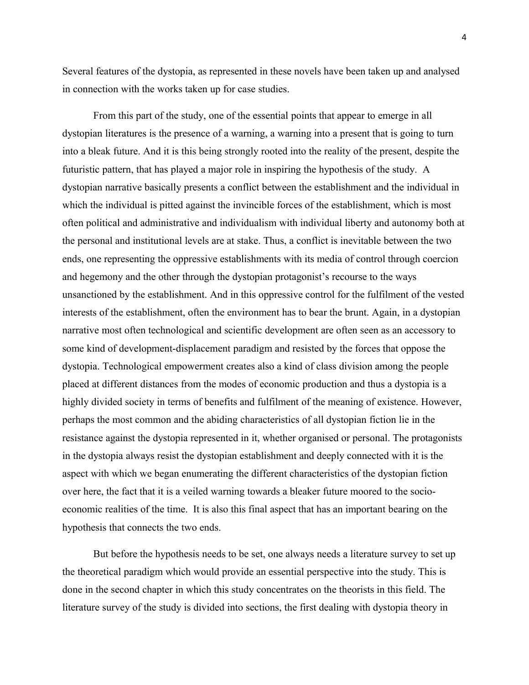Several features of the dystopia, as represented in these novels have been taken up and analysed in connection with the works taken up for case studies.

From this part of the study, one of the essential points that appear to emerge in all dystopian literatures is the presence of a warning, a warning into a present that is going to turn into a bleak future. And it is this being strongly rooted into the reality of the present, despite the futuristic pattern, that has played a major role in inspiring the hypothesis of the study. A dystopian narrative basically presents a conflict between the establishment and the individual in which the individual is pitted against the invincible forces of the establishment, which is most often political and administrative and individualism with individual liberty and autonomy both at the personal and institutional levels are at stake. Thus, a conflict is inevitable between the two ends, one representing the oppressive establishments with its media of control through coercion and hegemony and the other through the dystopian protagonist's recourse to the ways unsanctioned by the establishment. And in this oppressive control for the fulfilment of the vested interests of the establishment, often the environment has to bear the brunt. Again, in a dystopian narrative most often technological and scientific development are often seen as an accessory to some kind of development-displacement paradigm and resisted by the forces that oppose the dystopia. Technological empowerment creates also a kind of class division among the people placed at different distances from the modes of economic production and thus a dystopia is a highly divided society in terms of benefits and fulfilment of the meaning of existence. However, perhaps the most common and the abiding characteristics of all dystopian fiction lie in the resistance against the dystopia represented in it, whether organised or personal. The protagonists in the dystopia always resist the dystopian establishment and deeply connected with it is the aspect with which we began enumerating the different characteristics of the dystopian fiction over here, the fact that it is a veiled warning towards a bleaker future moored to the socioeconomic realities of the time. It is also this final aspect that has an important bearing on the hypothesis that connects the two ends.

But before the hypothesis needs to be set, one always needs a literature survey to set up the theoretical paradigm which would provide an essential perspective into the study. This is done in the second chapter in which this study concentrates on the theorists in this field. The literature survey of the study is divided into sections, the first dealing with dystopia theory in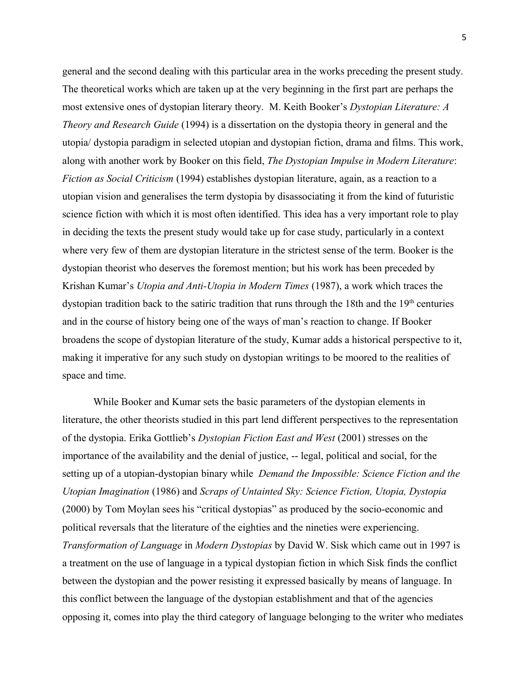general and the second dealing with this particular area in the works preceding the present study. The theoretical works which are taken up at the very beginning in the first part are perhaps the most extensive ones of dystopian literary theory. M. Keith Booker's *Dystopian Literature: A Theory and Research Guide* (1994) is a dissertation on the dystopia theory in general and the utopia/ dystopia paradigm in selected utopian and dystopian fiction, drama and films. This work, along with another work by Booker on this field, *The Dystopian Impulse in Modern Literature*: *Fiction as Social Criticism* (1994) establishes dystopian literature, again, as a reaction to a utopian vision and generalises the term dystopia by disassociating it from the kind of futuristic science fiction with which it is most often identified. This idea has a very important role to play in deciding the texts the present study would take up for case study, particularly in a context where very few of them are dystopian literature in the strictest sense of the term. Booker is the dystopian theorist who deserves the foremost mention; but his work has been preceded by Krishan Kumar's *Utopia and Anti-Utopia in Modern Times* (1987), a work which traces the dystopian tradition back to the satiric tradition that runs through the 18th and the  $19<sup>th</sup>$  centuries and in the course of history being one of the ways of man's reaction to change. If Booker broadens the scope of dystopian literature of the study, Kumar adds a historical perspective to it, making it imperative for any such study on dystopian writings to be moored to the realities of space and time.

While Booker and Kumar sets the basic parameters of the dystopian elements in literature, the other theorists studied in this part lend different perspectives to the representation of the dystopia. Erika Gottlieb's *Dystopian Fiction East and West* (2001) stresses on the importance of the availability and the denial of justice, -- legal, political and social, for the setting up of a utopian-dystopian binary while *Demand the Impossible: Science Fiction and the Utopian Imagination* (1986) and *Scraps of Untainted Sky: Science Fiction, Utopia, Dystopia* (2000) by Tom Moylan sees his "critical dystopias" as produced by the socio-economic and political reversals that the literature of the eighties and the nineties were experiencing. *Transformation of Language* in *Modern Dystopias* by David W. Sisk which came out in 1997 is a treatment on the use of language in a typical dystopian fiction in which Sisk finds the conflict between the dystopian and the power resisting it expressed basically by means of language. In this conflict between the language of the dystopian establishment and that of the agencies opposing it, comes into play the third category of language belonging to the writer who mediates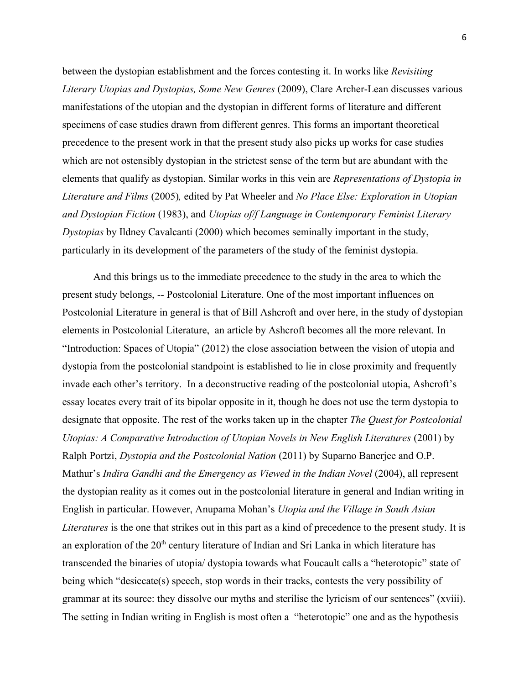between the dystopian establishment and the forces contesting it. In works like *Revisiting Literary Utopias and Dystopias, Some New Genres* (2009), Clare Archer-Lean discusses various manifestations of the utopian and the dystopian in different forms of literature and different specimens of case studies drawn from different genres. This forms an important theoretical precedence to the present work in that the present study also picks up works for case studies which are not ostensibly dystopian in the strictest sense of the term but are abundant with the elements that qualify as dystopian. Similar works in this vein are *Representations of Dystopia in Literature and Films* (2005)*,* edited by Pat Wheeler and *No Place Else: Exploration in Utopian and Dystopian Fiction* (1983), and *Utopias of/f Language in Contemporary Feminist Literary Dystopias* by Ildney Cavalcanti (2000) which becomes seminally important in the study, particularly in its development of the parameters of the study of the feminist dystopia.

And this brings us to the immediate precedence to the study in the area to which the present study belongs, -- Postcolonial Literature. One of the most important influences on Postcolonial Literature in general is that of Bill Ashcroft and over here, in the study of dystopian elements in Postcolonial Literature, an article by Ashcroft becomes all the more relevant. In "Introduction: Spaces of Utopia" (2012) the close association between the vision of utopia and dystopia from the postcolonial standpoint is established to lie in close proximity and frequently invade each other's territory. In a deconstructive reading of the postcolonial utopia, Ashcroft's essay locates every trait of its bipolar opposite in it, though he does not use the term dystopia to designate that opposite. The rest of the works taken up in the chapter *The Quest for Postcolonial Utopias: A Comparative Introduction of Utopian Novels in New English Literatures* (2001) by Ralph Portzi, *Dystopia and the Postcolonial Nation* (2011) by Suparno Banerjee and O.P. Mathur's *Indira Gandhi and the Emergency as Viewed in the Indian Novel* (2004), all represent the dystopian reality as it comes out in the postcolonial literature in general and Indian writing in English in particular. However, Anupama Mohan's *Utopia and the Village in South Asian Literatures* is the one that strikes out in this part as a kind of precedence to the present study. It is an exploration of the  $20<sup>th</sup>$  century literature of Indian and Sri Lanka in which literature has transcended the binaries of utopia/ dystopia towards what Foucault calls a "heterotopic" state of being which "desiccate(s) speech, stop words in their tracks, contests the very possibility of grammar at its source: they dissolve our myths and sterilise the lyricism of our sentences" (xviii). The setting in Indian writing in English is most often a "heterotopic" one and as the hypothesis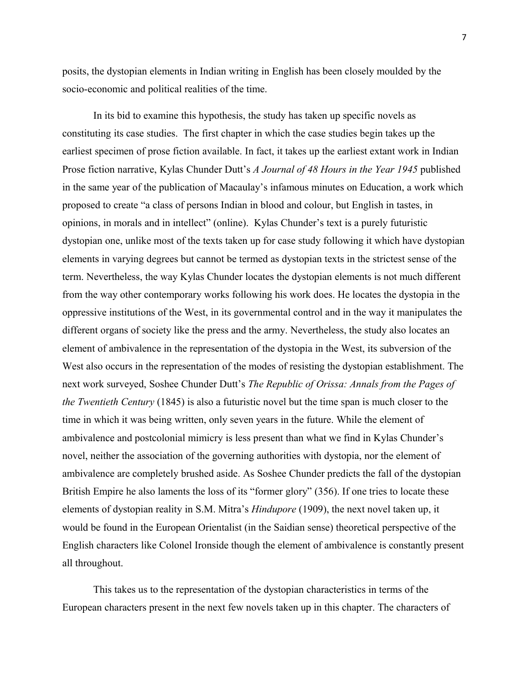posits, the dystopian elements in Indian writing in English has been closely moulded by the socio-economic and political realities of the time.

In its bid to examine this hypothesis, the study has taken up specific novels as constituting its case studies. The first chapter in which the case studies begin takes up the earliest specimen of prose fiction available. In fact, it takes up the earliest extant work in Indian Prose fiction narrative, Kylas Chunder Dutt's *A Journal of 48 Hours in the Year 1945* published in the same year of the publication of Macaulay's infamous minutes on Education, a work which proposed to create "a class of persons Indian in blood and colour, but English in tastes, in opinions, in morals and in intellect" (online). Kylas Chunder's text is a purely futuristic dystopian one, unlike most of the texts taken up for case study following it which have dystopian elements in varying degrees but cannot be termed as dystopian texts in the strictest sense of the term. Nevertheless, the way Kylas Chunder locates the dystopian elements is not much different from the way other contemporary works following his work does. He locates the dystopia in the oppressive institutions of the West, in its governmental control and in the way it manipulates the different organs of society like the press and the army. Nevertheless, the study also locates an element of ambivalence in the representation of the dystopia in the West, its subversion of the West also occurs in the representation of the modes of resisting the dystopian establishment. The next work surveyed, Soshee Chunder Dutt's *The Republic of Orissa: Annals from the Pages of the Twentieth Century* (1845) is also a futuristic novel but the time span is much closer to the time in which it was being written, only seven years in the future. While the element of ambivalence and postcolonial mimicry is less present than what we find in Kylas Chunder's novel, neither the association of the governing authorities with dystopia, nor the element of ambivalence are completely brushed aside. As Soshee Chunder predicts the fall of the dystopian British Empire he also laments the loss of its "former glory" (356). If one tries to locate these elements of dystopian reality in S.M. Mitra's *Hindupore* (1909), the next novel taken up, it would be found in the European Orientalist (in the Saidian sense) theoretical perspective of the English characters like Colonel Ironside though the element of ambivalence is constantly present all throughout.

This takes us to the representation of the dystopian characteristics in terms of the European characters present in the next few novels taken up in this chapter. The characters of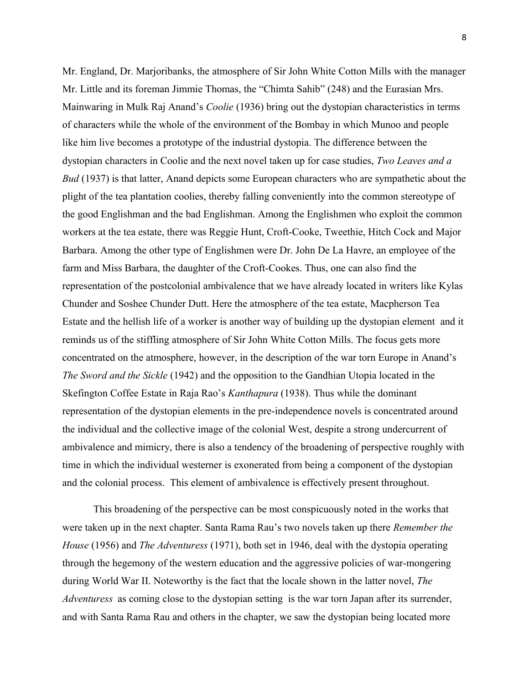Mr. England, Dr. Marjoribanks, the atmosphere of Sir John White Cotton Mills with the manager Mr. Little and its foreman Jimmie Thomas, the "Chimta Sahib" (248) and the Eurasian Mrs. Mainwaring in Mulk Raj Anand's *Coolie* (1936) bring out the dystopian characteristics in terms of characters while the whole of the environment of the Bombay in which Munoo and people like him live becomes a prototype of the industrial dystopia. The difference between the dystopian characters in Coolie and the next novel taken up for case studies, *Two Leaves and a Bud* (1937) is that latter, Anand depicts some European characters who are sympathetic about the plight of the tea plantation coolies, thereby falling conveniently into the common stereotype of the good Englishman and the bad Englishman. Among the Englishmen who exploit the common workers at the tea estate, there was Reggie Hunt, Croft-Cooke, Tweethie, Hitch Cock and Major Barbara. Among the other type of Englishmen were Dr. John De La Havre, an employee of the farm and Miss Barbara, the daughter of the Croft-Cookes. Thus, one can also find the representation of the postcolonial ambivalence that we have already located in writers like Kylas Chunder and Soshee Chunder Dutt. Here the atmosphere of the tea estate, Macpherson Tea Estate and the hellish life of a worker is another way of building up the dystopian element and it reminds us of the stiffling atmosphere of Sir John White Cotton Mills. The focus gets more concentrated on the atmosphere, however, in the description of the war torn Europe in Anand's *The Sword and the Sickle* (1942) and the opposition to the Gandhian Utopia located in the Skefington Coffee Estate in Raja Rao's *Kanthapura* (1938). Thus while the dominant representation of the dystopian elements in the pre-independence novels is concentrated around the individual and the collective image of the colonial West, despite a strong undercurrent of ambivalence and mimicry, there is also a tendency of the broadening of perspective roughly with time in which the individual westerner is exonerated from being a component of the dystopian and the colonial process. This element of ambivalence is effectively present throughout.

This broadening of the perspective can be most conspicuously noted in the works that were taken up in the next chapter. Santa Rama Rau's two novels taken up there *Remember the House* (1956) and *The Adventuress* (1971), both set in 1946, deal with the dystopia operating through the hegemony of the western education and the aggressive policies of war-mongering during World War II. Noteworthy is the fact that the locale shown in the latter novel, *The Adventuress* as coming close to the dystopian setting is the war torn Japan after its surrender, and with Santa Rama Rau and others in the chapter, we saw the dystopian being located more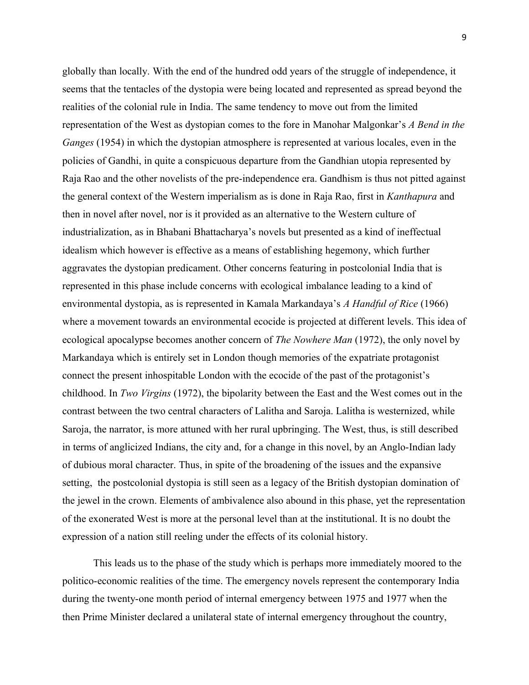globally than locally. With the end of the hundred odd years of the struggle of independence, it seems that the tentacles of the dystopia were being located and represented as spread beyond the realities of the colonial rule in India. The same tendency to move out from the limited representation of the West as dystopian comes to the fore in Manohar Malgonkar's *A Bend in the Ganges* (1954) in which the dystopian atmosphere is represented at various locales, even in the policies of Gandhi, in quite a conspicuous departure from the Gandhian utopia represented by Raja Rao and the other novelists of the pre-independence era. Gandhism is thus not pitted against the general context of the Western imperialism as is done in Raja Rao, first in *Kanthapura* and then in novel after novel, nor is it provided as an alternative to the Western culture of industrialization, as in Bhabani Bhattacharya's novels but presented as a kind of ineffectual idealism which however is effective as a means of establishing hegemony, which further aggravates the dystopian predicament. Other concerns featuring in postcolonial India that is represented in this phase include concerns with ecological imbalance leading to a kind of environmental dystopia, as is represented in Kamala Markandaya's *A Handful of Rice* (1966) where a movement towards an environmental ecocide is projected at different levels. This idea of ecological apocalypse becomes another concern of *The Nowhere Man* (1972), the only novel by Markandaya which is entirely set in London though memories of the expatriate protagonist connect the present inhospitable London with the ecocide of the past of the protagonist's childhood. In *Two Virgins* (1972), the bipolarity between the East and the West comes out in the contrast between the two central characters of Lalitha and Saroja. Lalitha is westernized, while Saroja, the narrator, is more attuned with her rural upbringing. The West, thus, is still described in terms of anglicized Indians, the city and, for a change in this novel, by an Anglo-Indian lady of dubious moral character. Thus, in spite of the broadening of the issues and the expansive setting, the postcolonial dystopia is still seen as a legacy of the British dystopian domination of the jewel in the crown. Elements of ambivalence also abound in this phase, yet the representation of the exonerated West is more at the personal level than at the institutional. It is no doubt the expression of a nation still reeling under the effects of its colonial history.

This leads us to the phase of the study which is perhaps more immediately moored to the politico-economic realities of the time. The emergency novels represent the contemporary India during the twenty-one month period of internal emergency between 1975 and 1977 when the then Prime Minister declared a unilateral state of internal emergency throughout the country,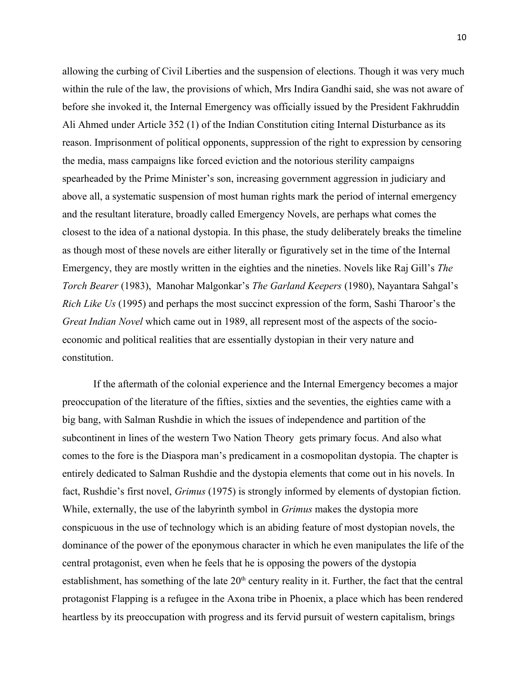allowing the curbing of Civil Liberties and the suspension of elections. Though it was very much within the rule of the law, the provisions of which, Mrs Indira Gandhi said, she was not aware of before she invoked it, the Internal Emergency was officially issued by the President Fakhruddin Ali Ahmed under Article 352 (1) of the Indian Constitution citing Internal Disturbance as its reason. Imprisonment of political opponents, suppression of the right to expression by censoring the media, mass campaigns like forced eviction and the notorious sterility campaigns spearheaded by the Prime Minister's son, increasing government aggression in judiciary and above all, a systematic suspension of most human rights mark the period of internal emergency and the resultant literature, broadly called Emergency Novels, are perhaps what comes the closest to the idea of a national dystopia. In this phase, the study deliberately breaks the timeline as though most of these novels are either literally or figuratively set in the time of the Internal Emergency, they are mostly written in the eighties and the nineties. Novels like Raj Gill's *The Torch Bearer* (1983), Manohar Malgonkar's *The Garland Keepers* (1980), Nayantara Sahgal's *Rich Like Us* (1995) and perhaps the most succinct expression of the form, Sashi Tharoor's the *Great Indian Novel* which came out in 1989, all represent most of the aspects of the socioeconomic and political realities that are essentially dystopian in their very nature and constitution.

If the aftermath of the colonial experience and the Internal Emergency becomes a major preoccupation of the literature of the fifties, sixties and the seventies, the eighties came with a big bang, with Salman Rushdie in which the issues of independence and partition of the subcontinent in lines of the western Two Nation Theory gets primary focus. And also what comes to the fore is the Diaspora man's predicament in a cosmopolitan dystopia. The chapter is entirely dedicated to Salman Rushdie and the dystopia elements that come out in his novels. In fact, Rushdie's first novel, *Grimus* (1975) is strongly informed by elements of dystopian fiction. While, externally, the use of the labyrinth symbol in *Grimus* makes the dystopia more conspicuous in the use of technology which is an abiding feature of most dystopian novels, the dominance of the power of the eponymous character in which he even manipulates the life of the central protagonist, even when he feels that he is opposing the powers of the dystopia establishment, has something of the late  $20<sup>th</sup>$  century reality in it. Further, the fact that the central protagonist Flapping is a refugee in the Axona tribe in Phoenix, a place which has been rendered heartless by its preoccupation with progress and its fervid pursuit of western capitalism, brings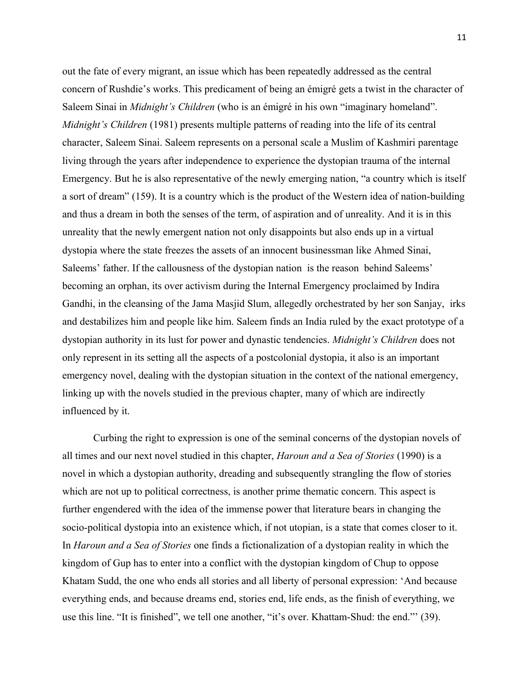out the fate of every migrant, an issue which has been repeatedly addressed as the central concern of Rushdie's works. This predicament of being an émigré gets a twist in the character of Saleem Sinai in *Midnight's Children* (who is an émigré in his own "imaginary homeland". *Midnight's Children* (1981) presents multiple patterns of reading into the life of its central character, Saleem Sinai. Saleem represents on a personal scale a Muslim of Kashmiri parentage living through the years after independence to experience the dystopian trauma of the internal Emergency. But he is also representative of the newly emerging nation, "a country which is itself a sort of dream" (159). It is a country which is the product of the Western idea of nation-building and thus a dream in both the senses of the term, of aspiration and of unreality. And it is in this unreality that the newly emergent nation not only disappoints but also ends up in a virtual dystopia where the state freezes the assets of an innocent businessman like Ahmed Sinai, Saleems' father. If the callousness of the dystopian nation is the reason behind Saleems' becoming an orphan, its over activism during the Internal Emergency proclaimed by Indira Gandhi, in the cleansing of the Jama Masjid Slum, allegedly orchestrated by her son Sanjay, irks and destabilizes him and people like him. Saleem finds an India ruled by the exact prototype of a dystopian authority in its lust for power and dynastic tendencies. *Midnight's Children* does not only represent in its setting all the aspects of a postcolonial dystopia, it also is an important emergency novel, dealing with the dystopian situation in the context of the national emergency, linking up with the novels studied in the previous chapter, many of which are indirectly influenced by it.

Curbing the right to expression is one of the seminal concerns of the dystopian novels of all times and our next novel studied in this chapter, *Haroun and a Sea of Stories* (1990) is a novel in which a dystopian authority, dreading and subsequently strangling the flow of stories which are not up to political correctness, is another prime thematic concern. This aspect is further engendered with the idea of the immense power that literature bears in changing the socio-political dystopia into an existence which, if not utopian, is a state that comes closer to it. In *Haroun and a Sea of Stories* one finds a fictionalization of a dystopian reality in which the kingdom of Gup has to enter into a conflict with the dystopian kingdom of Chup to oppose Khatam Sudd, the one who ends all stories and all liberty of personal expression: 'And because everything ends, and because dreams end, stories end, life ends, as the finish of everything, we use this line. "It is finished", we tell one another, "it's over. Khattam-Shud: the end."' (39).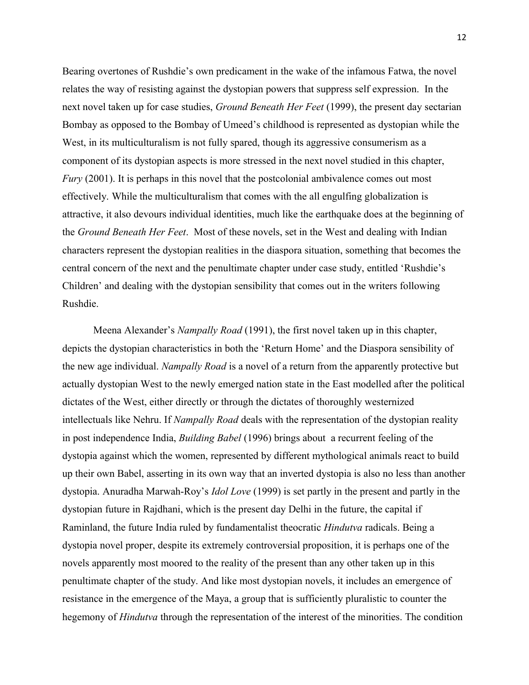Bearing overtones of Rushdie's own predicament in the wake of the infamous Fatwa, the novel relates the way of resisting against the dystopian powers that suppress self expression. In the next novel taken up for case studies, *Ground Beneath Her Feet* (1999), the present day sectarian Bombay as opposed to the Bombay of Umeed's childhood is represented as dystopian while the West, in its multiculturalism is not fully spared, though its aggressive consumerism as a component of its dystopian aspects is more stressed in the next novel studied in this chapter, *Fury* (2001). It is perhaps in this novel that the postcolonial ambivalence comes out most effectively. While the multiculturalism that comes with the all engulfing globalization is attractive, it also devours individual identities, much like the earthquake does at the beginning of the *Ground Beneath Her Feet*. Most of these novels, set in the West and dealing with Indian characters represent the dystopian realities in the diaspora situation, something that becomes the central concern of the next and the penultimate chapter under case study, entitled 'Rushdie's Children' and dealing with the dystopian sensibility that comes out in the writers following Rushdie.

Meena Alexander's *Nampally Road* (1991), the first novel taken up in this chapter, depicts the dystopian characteristics in both the 'Return Home' and the Diaspora sensibility of the new age individual. *Nampally Road* is a novel of a return from the apparently protective but actually dystopian West to the newly emerged nation state in the East modelled after the political dictates of the West, either directly or through the dictates of thoroughly westernized intellectuals like Nehru. If *Nampally Road* deals with the representation of the dystopian reality in post independence India, *Building Babel* (1996) brings about a recurrent feeling of the dystopia against which the women, represented by different mythological animals react to build up their own Babel, asserting in its own way that an inverted dystopia is also no less than another dystopia. Anuradha Marwah-Roy's *Idol Love* (1999) is set partly in the present and partly in the dystopian future in Rajdhani, which is the present day Delhi in the future, the capital if Raminland, the future India ruled by fundamentalist theocratic *Hindutva* radicals. Being a dystopia novel proper, despite its extremely controversial proposition, it is perhaps one of the novels apparently most moored to the reality of the present than any other taken up in this penultimate chapter of the study. And like most dystopian novels, it includes an emergence of resistance in the emergence of the Maya, a group that is sufficiently pluralistic to counter the hegemony of *Hindutva* through the representation of the interest of the minorities. The condition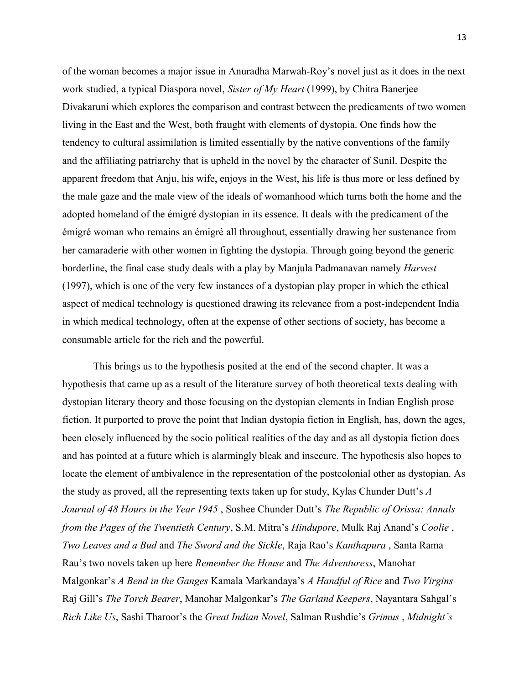of the woman becomes a major issue in Anuradha Marwah-Roy's novel just as it does in the next work studied, a typical Diaspora novel, *Sister of My Heart* (1999), by Chitra Banerjee Divakaruni which explores the comparison and contrast between the predicaments of two women living in the East and the West, both fraught with elements of dystopia. One finds how the tendency to cultural assimilation is limited essentially by the native conventions of the family and the affiliating patriarchy that is upheld in the novel by the character of Sunil. Despite the apparent freedom that Anju, his wife, enjoys in the West, his life is thus more or less defined by the male gaze and the male view of the ideals of womanhood which turns both the home and the adopted homeland of the émigré dystopian in its essence. It deals with the predicament of the émigré woman who remains an émigré all throughout, essentially drawing her sustenance from her camaraderie with other women in fighting the dystopia. Through going beyond the generic borderline, the final case study deals with a play by Manjula Padmanavan namely *Harvest* (1997), which is one of the very few instances of a dystopian play proper in which the ethical aspect of medical technology is questioned drawing its relevance from a post-independent India in which medical technology, often at the expense of other sections of society, has become a consumable article for the rich and the powerful.

This brings us to the hypothesis posited at the end of the second chapter. It was a hypothesis that came up as a result of the literature survey of both theoretical texts dealing with dystopian literary theory and those focusing on the dystopian elements in Indian English prose fiction. It purported to prove the point that Indian dystopia fiction in English, has, down the ages, been closely influenced by the socio political realities of the day and as all dystopia fiction does and has pointed at a future which is alarmingly bleak and insecure. The hypothesis also hopes to locate the element of ambivalence in the representation of the postcolonial other as dystopian. As the study as proved, all the representing texts taken up for study, Kylas Chunder Dutt's *A Journal of 48 Hours in the Year 1945* , Soshee Chunder Dutt's *The Republic of Orissa: Annals from the Pages of the Twentieth Century*, S.M. Mitra's *Hindupore*, Mulk Raj Anand's *Coolie* , *Two Leaves and a Bud* and *The Sword and the Sickle*, Raja Rao's *Kanthapura* , Santa Rama Rau's two novels taken up here *Remember the House* and *The Adventuress*, Manohar Malgonkar's *A Bend in the Ganges* Kamala Markandaya's *A Handful of Rice* and *Two Virgins* Raj Gill's *The Torch Bearer*, Manohar Malgonkar's *The Garland Keepers*, Nayantara Sahgal's *Rich Like Us*, Sashi Tharoor's the *Great Indian Novel*, Salman Rushdie's *Grimus* , *Midnight's*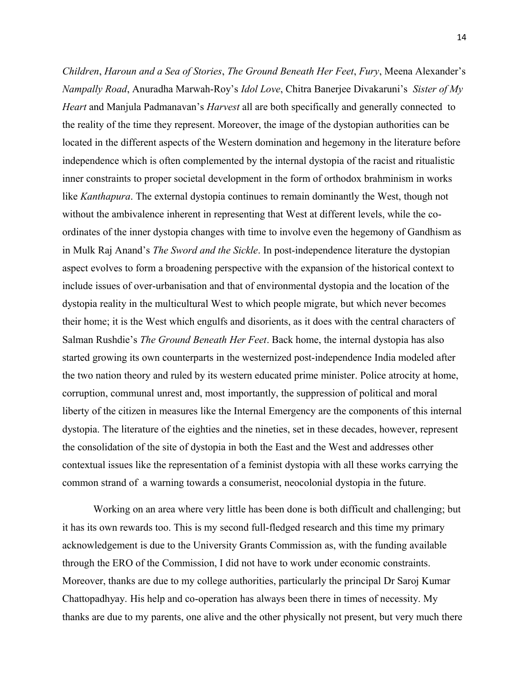*Children*, *Haroun and a Sea of Stories*, *The Ground Beneath Her Feet*, *Fury*, Meena Alexander's *Nampally Road*, Anuradha Marwah-Roy's *Idol Love*, Chitra Banerjee Divakaruni's *Sister of My Heart* and Manjula Padmanavan's *Harvest* all are both specifically and generally connected to the reality of the time they represent. Moreover, the image of the dystopian authorities can be located in the different aspects of the Western domination and hegemony in the literature before independence which is often complemented by the internal dystopia of the racist and ritualistic inner constraints to proper societal development in the form of orthodox brahminism in works like *Kanthapura*. The external dystopia continues to remain dominantly the West, though not without the ambivalence inherent in representing that West at different levels, while the coordinates of the inner dystopia changes with time to involve even the hegemony of Gandhism as in Mulk Raj Anand's *The Sword and the Sickle*. In post-independence literature the dystopian aspect evolves to form a broadening perspective with the expansion of the historical context to include issues of over-urbanisation and that of environmental dystopia and the location of the dystopia reality in the multicultural West to which people migrate, but which never becomes their home; it is the West which engulfs and disorients, as it does with the central characters of Salman Rushdie's *The Ground Beneath Her Feet*. Back home, the internal dystopia has also started growing its own counterparts in the westernized post-independence India modeled after the two nation theory and ruled by its western educated prime minister. Police atrocity at home, corruption, communal unrest and, most importantly, the suppression of political and moral liberty of the citizen in measures like the Internal Emergency are the components of this internal dystopia. The literature of the eighties and the nineties, set in these decades, however, represent the consolidation of the site of dystopia in both the East and the West and addresses other contextual issues like the representation of a feminist dystopia with all these works carrying the common strand of a warning towards a consumerist, neocolonial dystopia in the future.

Working on an area where very little has been done is both difficult and challenging; but it has its own rewards too. This is my second full-fledged research and this time my primary acknowledgement is due to the University Grants Commission as, with the funding available through the ERO of the Commission, I did not have to work under economic constraints. Moreover, thanks are due to my college authorities, particularly the principal Dr Saroj Kumar Chattopadhyay. His help and co-operation has always been there in times of necessity. My thanks are due to my parents, one alive and the other physically not present, but very much there